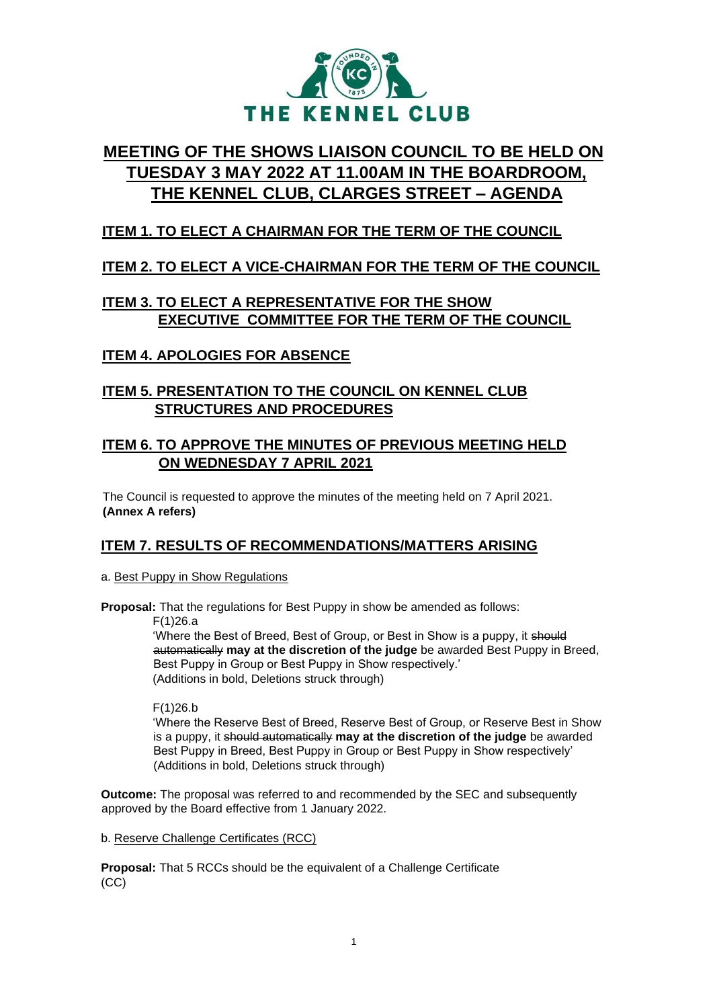

# **MEETING OF THE SHOWS LIAISON COUNCIL TO BE HELD ON TUESDAY 3 MAY 2022 AT 11.00AM IN THE BOARDROOM, THE KENNEL CLUB, CLARGES STREET – AGENDA**

# **ITEM 1. TO ELECT A CHAIRMAN FOR THE TERM OF THE COUNCIL**

## **ITEM 2. TO ELECT A VICE-CHAIRMAN FOR THE TERM OF THE COUNCIL**

# **ITEM 3. TO ELECT A REPRESENTATIVE FOR THE SHOW EXECUTIVE COMMITTEE FOR THE TERM OF THE COUNCIL**

## **ITEM 4. APOLOGIES FOR ABSENCE**

### **ITEM 5. PRESENTATION TO THE COUNCIL ON KENNEL CLUB STRUCTURES AND PROCEDURES**

### **ITEM 6. TO APPROVE THE MINUTES OF PREVIOUS MEETING HELD ON WEDNESDAY 7 APRIL 2021**

The Council is requested to approve the minutes of the meeting held on 7 April 2021. **(Annex A refers)** 

## **ITEM 7. RESULTS OF RECOMMENDATIONS/MATTERS ARISING**

a. Best Puppy in Show Regulations

**Proposal:** That the regulations for Best Puppy in show be amended as follows:

F(1)26.a

'Where the Best of Breed, Best of Group, or Best in Show is a puppy, it should automatically **may at the discretion of the judge** be awarded Best Puppy in Breed, Best Puppy in Group or Best Puppy in Show respectively.' (Additions in bold, Deletions struck through)

F(1)26.b

'Where the Reserve Best of Breed, Reserve Best of Group, or Reserve Best in Show is a puppy, it should automatically **may at the discretion of the judge** be awarded Best Puppy in Breed, Best Puppy in Group or Best Puppy in Show respectively' (Additions in bold, Deletions struck through)

**Outcome:** The proposal was referred to and recommended by the SEC and subsequently approved by the Board effective from 1 January 2022.

b. Reserve Challenge Certificates (RCC)

**Proposal:** That 5 RCCs should be the equivalent of a Challenge Certificate (CC)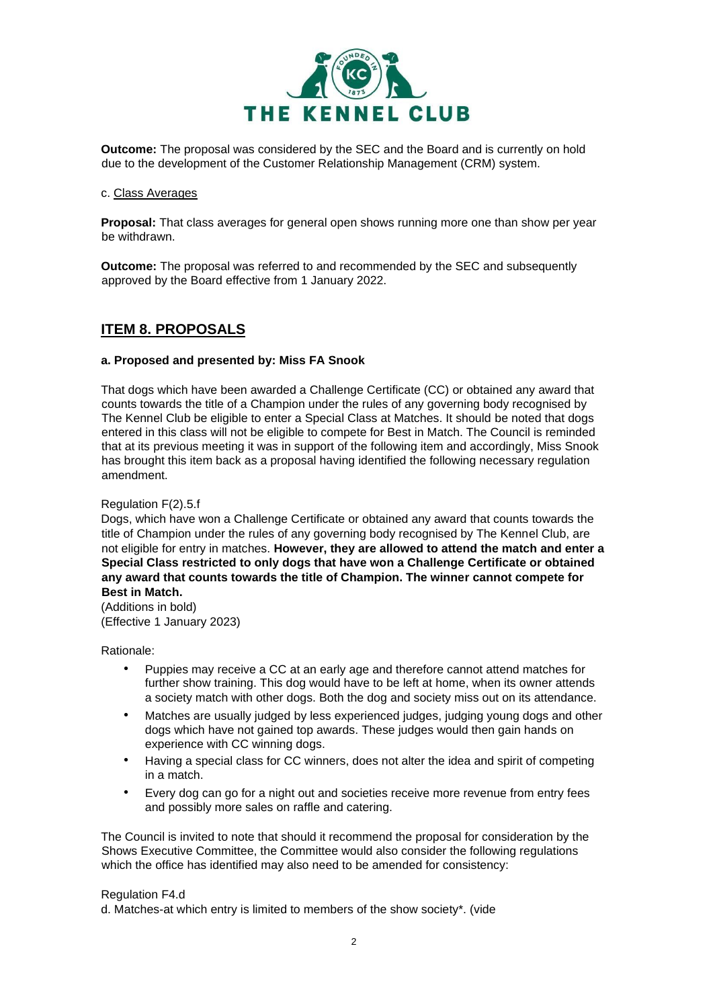

**Outcome:** The proposal was considered by the SEC and the Board and is currently on hold due to the development of the Customer Relationship Management (CRM) system.

#### c. Class Averages

**Proposal:** That class averages for general open shows running more one than show per year be withdrawn.

**Outcome:** The proposal was referred to and recommended by the SEC and subsequently approved by the Board effective from 1 January 2022.

### **ITEM 8. PROPOSALS**

#### **a. Proposed and presented by: Miss FA Snook**

That dogs which have been awarded a Challenge Certificate (CC) or obtained any award that counts towards the title of a Champion under the rules of any governing body recognised by The Kennel Club be eligible to enter a Special Class at Matches. It should be noted that dogs entered in this class will not be eligible to compete for Best in Match. The Council is reminded that at its previous meeting it was in support of the following item and accordingly, Miss Snook has brought this item back as a proposal having identified the following necessary regulation amendment.

#### Regulation F(2).5.f

Dogs, which have won a Challenge Certificate or obtained any award that counts towards the title of Champion under the rules of any governing body recognised by The Kennel Club, are not eligible for entry in matches. **However, they are allowed to attend the match and enter a Special Class restricted to only dogs that have won a Challenge Certificate or obtained any award that counts towards the title of Champion. The winner cannot compete for Best in Match.** 

(Additions in bold) (Effective 1 January 2023)

Rationale:

- Puppies may receive a CC at an early age and therefore cannot attend matches for further show training. This dog would have to be left at home, when its owner attends a society match with other dogs. Both the dog and society miss out on its attendance.
- Matches are usually judged by less experienced judges, judging young dogs and other dogs which have not gained top awards. These judges would then gain hands on experience with CC winning dogs.
- Having a special class for CC winners, does not alter the idea and spirit of competing in a match.
- Every dog can go for a night out and societies receive more revenue from entry fees and possibly more sales on raffle and catering.

The Council is invited to note that should it recommend the proposal for consideration by the Shows Executive Committee, the Committee would also consider the following regulations which the office has identified may also need to be amended for consistency:

#### Regulation F4.d

d. Matches-at which entry is limited to members of the show society\*. (vide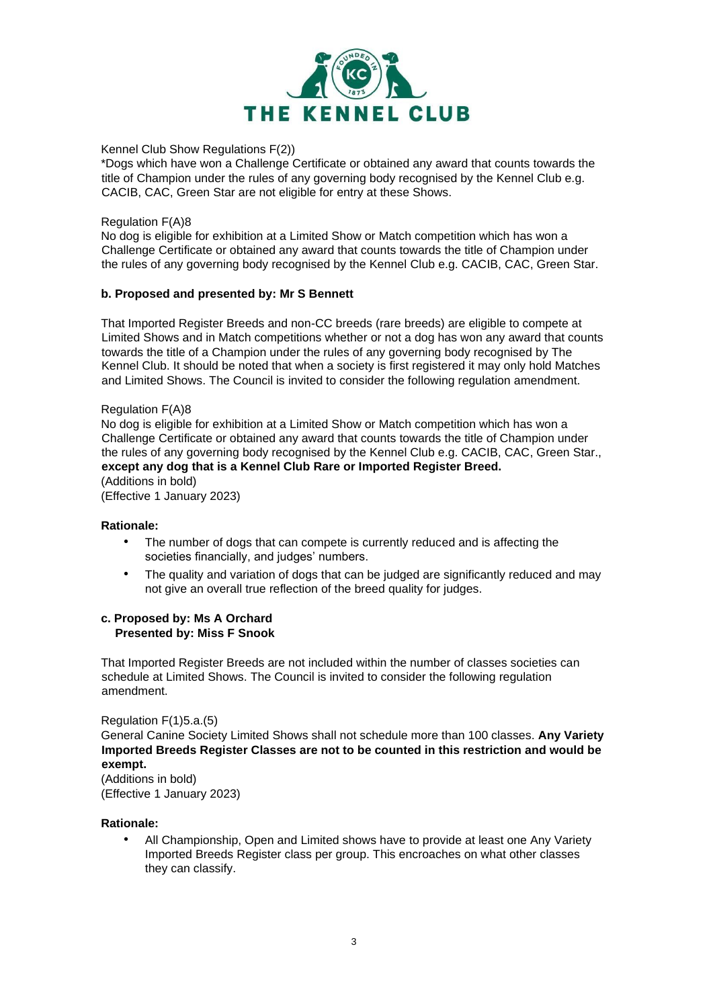

#### Kennel Club Show Regulations F(2))

\*Dogs which have won a Challenge Certificate or obtained any award that counts towards the title of Champion under the rules of any governing body recognised by the Kennel Club e.g. CACIB, CAC, Green Star are not eligible for entry at these Shows.

#### Regulation F(A)8

No dog is eligible for exhibition at a Limited Show or Match competition which has won a Challenge Certificate or obtained any award that counts towards the title of Champion under the rules of any governing body recognised by the Kennel Club e.g. CACIB, CAC, Green Star.

#### **b. Proposed and presented by: Mr S Bennett**

That Imported Register Breeds and non-CC breeds (rare breeds) are eligible to compete at Limited Shows and in Match competitions whether or not a dog has won any award that counts towards the title of a Champion under the rules of any governing body recognised by The Kennel Club. It should be noted that when a society is first registered it may only hold Matches and Limited Shows. The Council is invited to consider the following regulation amendment.

#### Regulation F(A)8

No dog is eligible for exhibition at a Limited Show or Match competition which has won a Challenge Certificate or obtained any award that counts towards the title of Champion under the rules of any governing body recognised by the Kennel Club e.g. CACIB, CAC, Green Star., **except any dog that is a Kennel Club Rare or Imported Register Breed.**  (Additions in bold)

(Effective 1 January 2023)

#### **Rationale:**

- The number of dogs that can compete is currently reduced and is affecting the societies financially, and judges' numbers.
- The quality and variation of dogs that can be judged are significantly reduced and may not give an overall true reflection of the breed quality for judges.

#### **c. Proposed by: Ms A Orchard Presented by: Miss F Snook**

That Imported Register Breeds are not included within the number of classes societies can schedule at Limited Shows. The Council is invited to consider the following regulation amendment.

Regulation F(1)5.a.(5) General Canine Society Limited Shows shall not schedule more than 100 classes. **Any Variety Imported Breeds Register Classes are not to be counted in this restriction and would be exempt.**

(Additions in bold) (Effective 1 January 2023)

#### **Rationale:**

• All Championship, Open and Limited shows have to provide at least one Any Variety Imported Breeds Register class per group. This encroaches on what other classes they can classify.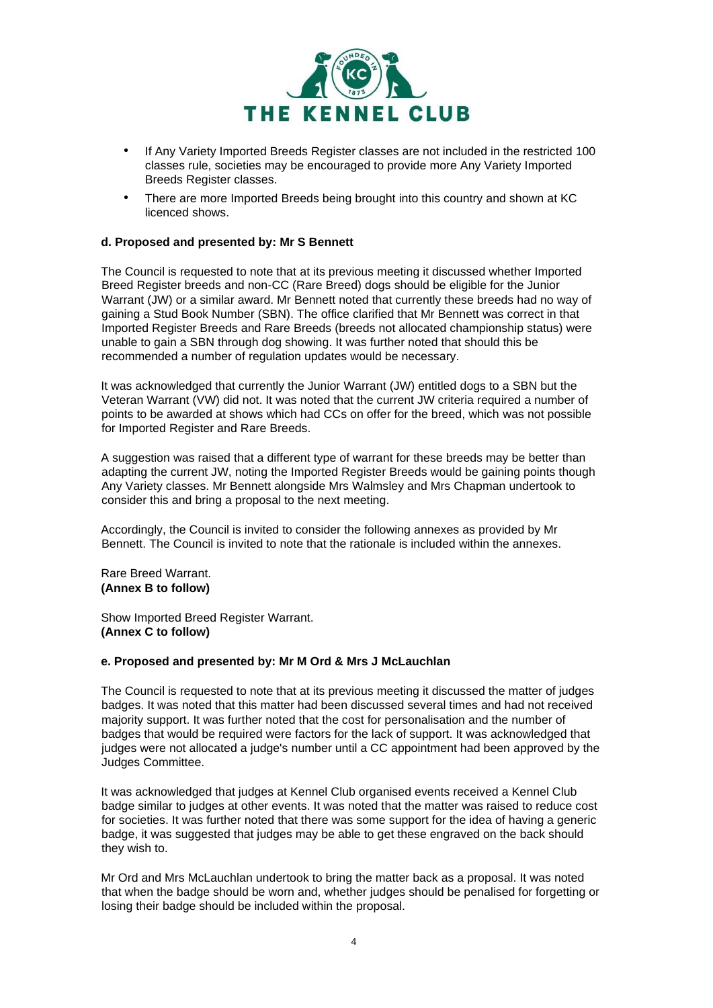

- If Any Variety Imported Breeds Register classes are not included in the restricted 100 classes rule, societies may be encouraged to provide more Any Variety Imported Breeds Register classes.
- There are more Imported Breeds being brought into this country and shown at KC licenced shows.

#### **d. Proposed and presented by: Mr S Bennett**

The Council is requested to note that at its previous meeting it discussed whether Imported Breed Register breeds and non-CC (Rare Breed) dogs should be eligible for the Junior Warrant (JW) or a similar award. Mr Bennett noted that currently these breeds had no way of gaining a Stud Book Number (SBN). The office clarified that Mr Bennett was correct in that Imported Register Breeds and Rare Breeds (breeds not allocated championship status) were unable to gain a SBN through dog showing. It was further noted that should this be recommended a number of regulation updates would be necessary.

It was acknowledged that currently the Junior Warrant (JW) entitled dogs to a SBN but the Veteran Warrant (VW) did not. It was noted that the current JW criteria required a number of points to be awarded at shows which had CCs on offer for the breed, which was not possible for Imported Register and Rare Breeds.

A suggestion was raised that a different type of warrant for these breeds may be better than adapting the current JW, noting the Imported Register Breeds would be gaining points though Any Variety classes. Mr Bennett alongside Mrs Walmsley and Mrs Chapman undertook to consider this and bring a proposal to the next meeting.

Accordingly, the Council is invited to consider the following annexes as provided by Mr Bennett. The Council is invited to note that the rationale is included within the annexes.

Rare Breed Warrant. **(Annex B to follow)** 

Show Imported Breed Register Warrant. **(Annex C to follow)** 

#### **e. Proposed and presented by: Mr M Ord & Mrs J McLauchlan**

The Council is requested to note that at its previous meeting it discussed the matter of judges badges. It was noted that this matter had been discussed several times and had not received majority support. It was further noted that the cost for personalisation and the number of badges that would be required were factors for the lack of support. It was acknowledged that judges were not allocated a judge's number until a CC appointment had been approved by the Judges Committee.

It was acknowledged that judges at Kennel Club organised events received a Kennel Club badge similar to judges at other events. It was noted that the matter was raised to reduce cost for societies. It was further noted that there was some support for the idea of having a generic badge, it was suggested that judges may be able to get these engraved on the back should they wish to.

Mr Ord and Mrs McLauchlan undertook to bring the matter back as a proposal. It was noted that when the badge should be worn and, whether judges should be penalised for forgetting or losing their badge should be included within the proposal.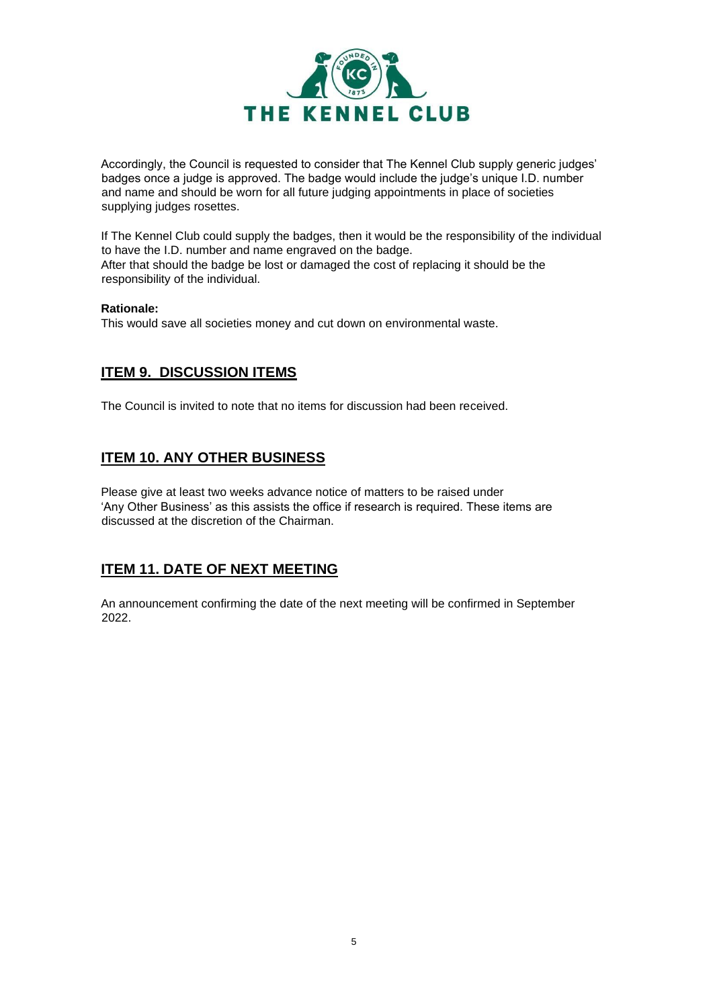

Accordingly, the Council is requested to consider that The Kennel Club supply generic judges' badges once a judge is approved. The badge would include the judge's unique I.D. number and name and should be worn for all future judging appointments in place of societies supplying judges rosettes.

If The Kennel Club could supply the badges, then it would be the responsibility of the individual to have the I.D. number and name engraved on the badge. After that should the badge be lost or damaged the cost of replacing it should be the responsibility of the individual.

#### **Rationale:**

This would save all societies money and cut down on environmental waste.

## **ITEM 9. DISCUSSION ITEMS**

The Council is invited to note that no items for discussion had been received.

# **ITEM 10. ANY OTHER BUSINESS**

Please give at least two weeks advance notice of matters to be raised under 'Any Other Business' as this assists the office if research is required. These items are discussed at the discretion of the Chairman.

# **ITEM 11. DATE OF NEXT MEETING**

An announcement confirming the date of the next meeting will be confirmed in September 2022.